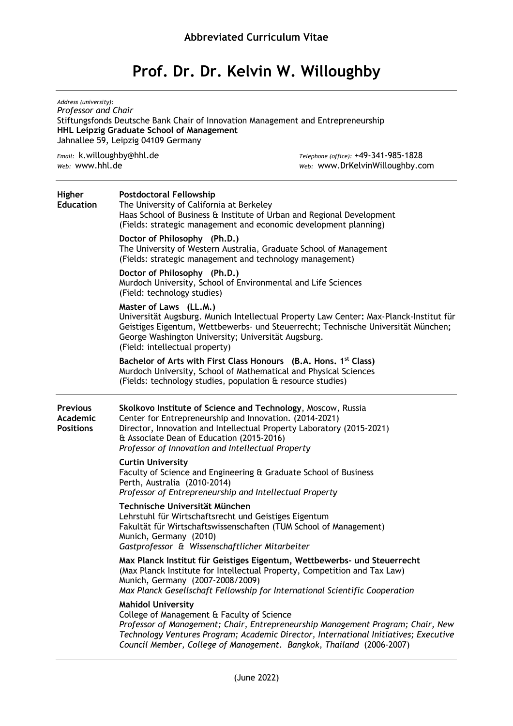# **Prof. Dr. Dr. Kelvin W. Willoughby**

| Address (university):<br>Professor and Chair<br>Stiftungsfonds Deutsche Bank Chair of Innovation Management and Entrepreneurship<br>HHL Leipzig Graduate School of Management<br>Jahnallee 59, Leipzig 04109 Germany |                                                                                                                                                                                                                           |                                                                                                                                                                                                                                                 |
|----------------------------------------------------------------------------------------------------------------------------------------------------------------------------------------------------------------------|---------------------------------------------------------------------------------------------------------------------------------------------------------------------------------------------------------------------------|-------------------------------------------------------------------------------------------------------------------------------------------------------------------------------------------------------------------------------------------------|
| Email: k.willoughby@hhl.de<br>web: www.hhl.de                                                                                                                                                                        |                                                                                                                                                                                                                           | Telephone (office): +49-341-985-1828<br>Web: WWW.DrKelvinWilloughby.com                                                                                                                                                                         |
| <b>Higher</b><br><b>Education</b>                                                                                                                                                                                    | <b>Postdoctoral Fellowship</b><br>The University of California at Berkeley<br>Haas School of Business & Institute of Urban and Regional Development<br>(Fields: strategic management and economic development planning)   |                                                                                                                                                                                                                                                 |
|                                                                                                                                                                                                                      | Doctor of Philosophy (Ph.D.)<br>(Fields: strategic management and technology management)                                                                                                                                  | The University of Western Australia, Graduate School of Management                                                                                                                                                                              |
|                                                                                                                                                                                                                      | Doctor of Philosophy (Ph.D.)<br>Murdoch University, School of Environmental and Life Sciences<br>(Field: technology studies)                                                                                              |                                                                                                                                                                                                                                                 |
|                                                                                                                                                                                                                      | Master of Laws (LL.M.)<br>George Washington University; Universität Augsburg.<br>(Field: intellectual property)                                                                                                           | Universität Augsburg. Munich Intellectual Property Law Center: Max-Planck-Institut für<br>Geistiges Eigentum, Wettbewerbs- und Steuerrecht; Technische Universität München;                                                                     |
|                                                                                                                                                                                                                      | (Fields: technology studies, population & resource studies)                                                                                                                                                               | Bachelor of Arts with First Class Honours (B.A. Hons. 1 <sup>st</sup> Class)<br>Murdoch University, School of Mathematical and Physical Sciences                                                                                                |
| <b>Previous</b><br>Academic<br><b>Positions</b>                                                                                                                                                                      | Skolkovo Institute of Science and Technology, Moscow, Russia<br>Center for Entrepreneurship and Innovation. (2014-2021)<br>& Associate Dean of Education (2015-2016)<br>Professor of Innovation and Intellectual Property | Director, Innovation and Intellectual Property Laboratory (2015-2021)                                                                                                                                                                           |
|                                                                                                                                                                                                                      | <b>Curtin University</b><br>Perth, Australia (2010-2014)<br>Professor of Entrepreneurship and Intellectual Property                                                                                                       | Faculty of Science and Engineering & Graduate School of Business                                                                                                                                                                                |
|                                                                                                                                                                                                                      | Technische Universität München<br>Lehrstuhl für Wirtschaftsrecht und Geistiges Eigentum<br>Munich, Germany (2010)<br>Gastprofessor & Wissenschaftlicher Mitarbeiter                                                       | Fakultät für Wirtschaftswissenschaften (TUM School of Management)                                                                                                                                                                               |
|                                                                                                                                                                                                                      | Munich, Germany (2007-2008/2009)                                                                                                                                                                                          | Max Planck Institut für Geistiges Eigentum, Wettbewerbs- und Steuerrecht<br>(Max Planck Institute for Intellectual Property, Competition and Tax Law)<br>Max Planck Gesellschaft Fellowship for International Scientific Cooperation            |
|                                                                                                                                                                                                                      | <b>Mahidol University</b><br>College of Management & Faculty of Science                                                                                                                                                   | Professor of Management; Chair, Entrepreneurship Management Program; Chair, New<br>Technology Ventures Program; Academic Director, International Initiatives; Executive<br>Council Member, College of Management. Bangkok, Thailand (2006-2007) |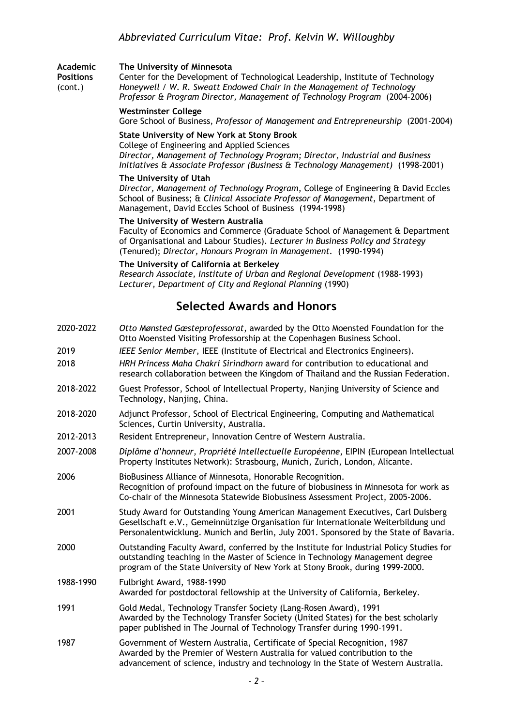### **Academic The University of Minnesota**

**Positions** Center for the Development of Technological Leadership, Institute of Technology (cont.) *Honeywell / W. R. Sweatt Endowed Chair in the Management of Technology Professor & Program Director, Management of Technology Program* (2004-2006)

#### **Westminster College**

Gore School of Business, *Professor of Management and Entrepreneurship* (2001-2004)

## **State University of New York at Stony Brook**

College of Engineering and Applied Sciences *Director, Management of Technology Program; Director, Industrial and Business Initiatives & Associate Professor (Business & Technology Management)* (1998-2001)

### **The University of Utah**

*Director, Management of Technology Program*, College of Engineering & David Eccles School of Business; & *Clinical Associate Professor of Management*, Department of Management, David Eccles School of Business (1994-1998)

### **The University of Western Australia**

Faculty of Economics and Commerce (Graduate School of Management & Department of Organisational and Labour Studies). *Lecturer in Business Policy and Strategy* (Tenured); *Director, Honours Program in Management.* (1990-1994)

### **The University of California at Berkeley**

*Research Associate, Institute of Urban and Regional Development* (1988-1993) *Lecturer, Department of City and Regional Planning* (1990)

# **Selected Awards and Honors**

- 2020-2022 *Otto Mønsted Gæsteprofessorat*, awarded by the Otto Moensted Foundation for the Otto Moensted Visiting Professorship at the Copenhagen Business School.
- 2019 *IEEE Senior Member*, IEEE (Institute of Electrical and Electronics Engineers).
- 2018 *HRH Princess Maha Chakri Sirindhorn* award for contribution to educational and research collaboration between the Kingdom of Thailand and the Russian Federation.
- 2018-2022 Guest Professor, School of Intellectual Property, Nanjing University of Science and Technology, Nanjing, China.
- 2018-2020 Adjunct Professor, School of Electrical Engineering, Computing and Mathematical Sciences, Curtin University, Australia.
- 2012-2013 Resident Entrepreneur, Innovation Centre of Western Australia.
- 2007-2008 *Diplôme d'honneur, Propriété Intellectuelle Européenne*, EIPIN (European Intellectual Property Institutes Network): Strasbourg, Munich, Zurich, London, Alicante.
- 2006 BioBusiness Alliance of Minnesota, Honorable Recognition. Recognition of profound impact on the future of biobusiness in Minnesota for work as Co-chair of the Minnesota Statewide Biobusiness Assessment Project, 2005-2006.
- 2001 Study Award for Outstanding Young American Management Executives, Carl Duisberg Gesellschaft e.V., Gemeinnützige Organisation für Internationale Weiterbildung und Personalentwicklung. Munich and Berlin, July 2001. Sponsored by the State of Bavaria.
- 2000 Outstanding Faculty Award, conferred by the Institute for Industrial Policy Studies for outstanding teaching in the Master of Science in Technology Management degree program of the State University of New York at Stony Brook, during 1999-2000.
- 1988-1990 Fulbright Award, 1988-1990 Awarded for postdoctoral fellowship at the University of California, Berkeley.
- 1991 Gold Medal, Technology Transfer Society (Lang-Rosen Award), 1991 Awarded by the Technology Transfer Society (United States) for the best scholarly paper published in The Journal of Technology Transfer during 1990-1991.
- 1987 Government of Western Australia, Certificate of Special Recognition, 1987 Awarded by the Premier of Western Australia for valued contribution to the advancement of science, industry and technology in the State of Western Australia.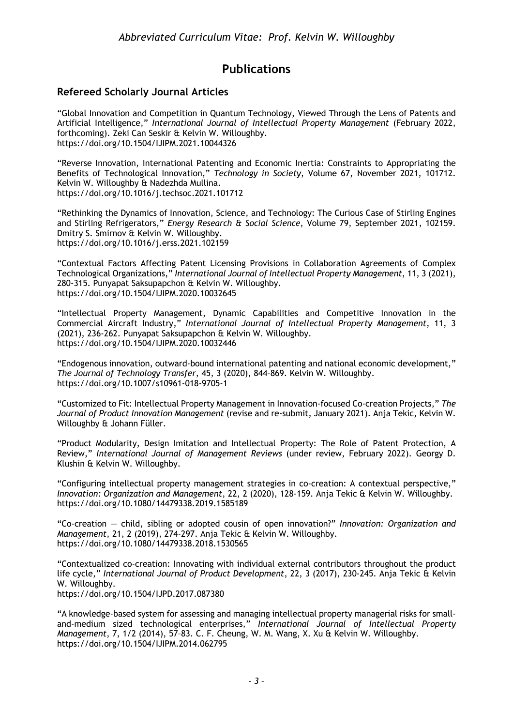# **Publications**

## **Refereed Scholarly Journal Articles**

"Global Innovation and Competition in Quantum Technology, Viewed Through the Lens of Patents and Artificial Intelligence," *International Journal of Intellectual Property Management* (February 2022, forthcoming). Zeki Can Seskir & Kelvin W. Willoughby. https://doi.org/10.1504/IJIPM.2021.10044326

"Reverse Innovation, International Patenting and Economic Inertia: Constraints to Appropriating the Benefits of Technological Innovation," *Technology in Society*, Volume 67, November 2021, 101712. Kelvin W. Willoughby & Nadezhda Mullina. https://doi.org/10.1016/j.techsoc.2021.101712

"Rethinking the Dynamics of Innovation, Science, and Technology: The Curious Case of Stirling Engines and Stirling Refrigerators," *Energy Research & Social Science*, Volume 79, September 2021, 102159. Dmitry S. Smirnov & Kelvin W. Willoughby. https://doi.org/10.1016/j.erss.2021.102159

"Contextual Factors Affecting Patent Licensing Provisions in Collaboration Agreements of Complex Technological Organizations," *International Journal of Intellectual Property Management*, 11, 3 (2021), 280-315. Punyapat Saksupapchon & Kelvin W. Willoughby. https://doi.org/10.1504/IJIPM.2020.10032645

"Intellectual Property Management, Dynamic Capabilities and Competitive Innovation in the Commercial Aircraft Industry," *International Journal of Intellectual Property Management*, 11, 3 (2021), 236-262. Punyapat Saksupapchon & Kelvin W. Willoughby. https://doi.org/10.1504/IJIPM.2020.10032446

"Endogenous innovation, outward-bound international patenting and national economic development," *The Journal of Technology Transfer*, 45, 3 (2020), 844–869. Kelvin W. Willoughby. https://doi.org/10.1007/s10961-018-9705-1

"Customized to Fit: Intellectual Property Management in Innovation-focused Co-creation Projects," *The Journal of Product Innovation Management* (revise and re-submit, January 2021). Anja Tekic, Kelvin W. Willoughby & Johann Füller.

"Product Modularity, Design Imitation and Intellectual Property: The Role of Patent Protection, A Review," *International Journal of Management Reviews* (under review, February 2022). Georgy D. Klushin & Kelvin W. Willoughby.

"Configuring intellectual property management strategies in co-creation: A contextual perspective," *Innovation: Organization and Management*, 22, 2 (2020), 128-159. Anja Tekic & Kelvin W. Willoughby. https://doi.org/10.1080/14479338.2019.1585189

"Co-creation — child, sibling or adopted cousin of open innovation?" *Innovation: Organization and Management*, 21, 2 (2019), 274-297. Anja Tekic & Kelvin W. Willoughby. https://doi.org/10.1080/14479338.2018.1530565

"Contextualized co-creation: Innovating with individual external contributors throughout the product life cycle," *International Journal of Product Development*, 22, 3 (2017), 230-245. Anja Tekic & Kelvin W. Willoughby.

https://doi.org/10.1504/IJPD.2017.087380

"A knowledge-based system for assessing and managing intellectual property managerial risks for smalland-medium sized technological enterprises," *International Journal of Intellectual Property Management*, 7, 1/2 (2014), 57–83. C. F. Cheung, W. M. Wang, X. Xu & Kelvin W. Willoughby. https://doi.org/10.1504/IJIPM.2014.062795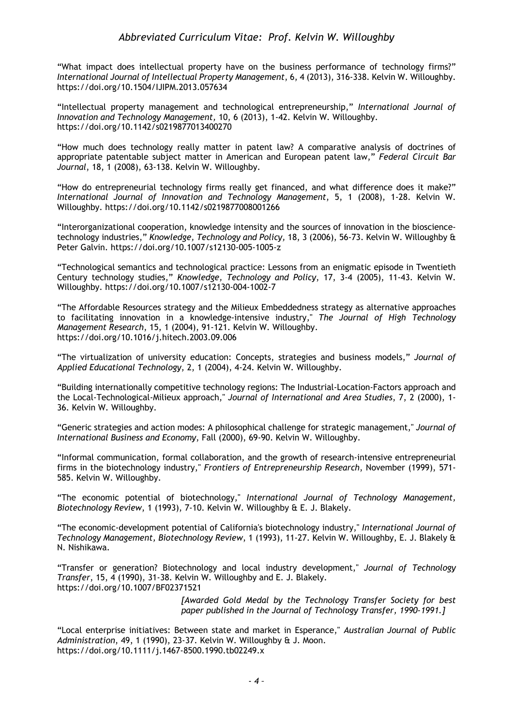"What impact does intellectual property have on the business performance of technology firms?" *International Journal of Intellectual Property Management*, 6, 4 (2013), 316-338. Kelvin W. Willoughby. https://doi.org/10.1504/IJIPM.2013.057634

"Intellectual property management and technological entrepreneurship," *International Journal of Innovation and Technology Management,* 10, 6 (2013), 1-42. Kelvin W. Willoughby. https://doi.org/10.1142/s0219877013400270

"How much does technology really matter in patent law? A comparative analysis of doctrines of appropriate patentable subject matter in American and European patent law," *Federal Circuit Bar Journal*, 18, 1 (2008), 63-138. Kelvin W. Willoughby.

"How do entrepreneurial technology firms really get financed, and what difference does it make?" *International Journal of Innovation and Technology Management*, 5, 1 (2008), 1-28. Kelvin W. Willoughby. https://doi.org/10.1142/s0219877008001266

"Interorganizational cooperation, knowledge intensity and the sources of innovation in the biosciencetechnology industries," *Knowledge, Technology and Policy,* 18, 3 (2006), 56-73. Kelvin W. Willoughby & Peter Galvin. https://doi.org/10.1007/s12130-005-1005-z

"Technological semantics and technological practice: Lessons from an enigmatic episode in Twentieth Century technology studies," *Knowledge, Technology and Policy*, 17, 3-4 (2005), 11-43. Kelvin W. Willoughby. https://doi.org/10.1007/s12130-004-1002-7

"The Affordable Resources strategy and the Milieux Embeddedness strategy as alternative approaches to facilitating innovation in a knowledge-intensive industry," *The Journal of High Technology Management Research*, 15, 1 (2004), 91-121. Kelvin W. Willoughby. https://doi.org/10.1016/j.hitech.2003.09.006

"The virtualization of university education: Concepts, strategies and business models," *Journal of Applied Educational Technology*, 2, 1 (2004), 4-24. Kelvin W. Willoughby.

"Building internationally competitive technology regions: The Industrial-Location-Factors approach and the Local-Technological-Milieux approach," *Journal of International and Area Studies*, 7, 2 (2000), 1- 36. Kelvin W. Willoughby.

"Generic strategies and action modes: A philosophical challenge for strategic management," *Journal of International Business and Economy*, Fall (2000), 69-90. Kelvin W. Willoughby.

"Informal communication, formal collaboration, and the growth of research-intensive entrepreneurial firms in the biotechnology industry," *Frontiers of Entrepreneurship Research*, November (1999), 571- 585. Kelvin W. Willoughby.

"The economic potential of biotechnology," *International Journal of Technology Management, Biotechnology Review*, 1 (1993), 7-10. Kelvin W. Willoughby & E. J. Blakely.

"The economic-development potential of California's biotechnology industry," *International Journal of Technology Management, Biotechnology Review*, 1 (1993), 11-27. Kelvin W. Willoughby, E. J. Blakely & N. Nishikawa.

"Transfer or generation? Biotechnology and local industry development," *Journal of Technology Transfer*, 15, 4 (1990), 31-38. Kelvin W. Willoughby and E. J. Blakely. https://doi.org/10.1007/BF02371521

> *[Awarded Gold Medal by the Technology Transfer Society for best paper published in the Journal of Technology Transfer, 1990-1991.]*

"Local enterprise initiatives: Between state and market in Esperance," *Australian Journal of Public Administration*, 49, 1 (1990), 23-37. Kelvin W. Willoughby & J. Moon. https://doi.org/10.1111/j.1467-8500.1990.tb02249.x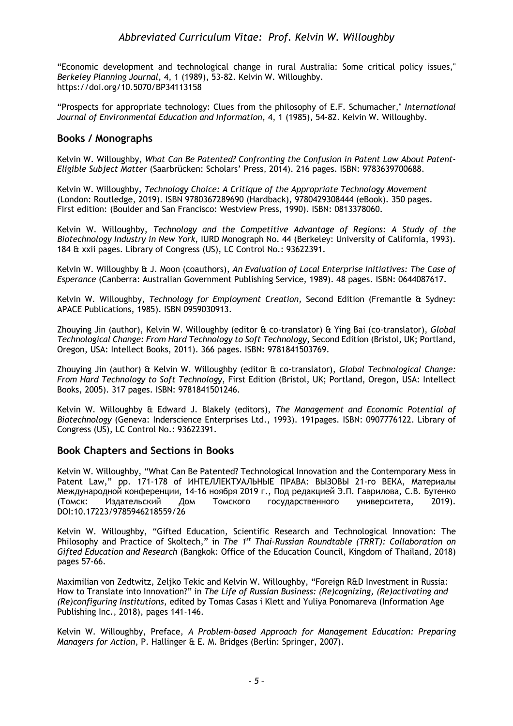"Economic development and technological change in rural Australia: Some critical policy issues," *Berkeley Planning Journal*, 4, 1 (1989), 53-82. Kelvin W. Willoughby. https://doi.org/10.5070/BP34113158

"Prospects for appropriate technology: Clues from the philosophy of E.F. Schumacher," *International Journal of Environmental Education and Information*, 4, 1 (1985), 54-82. Kelvin W. Willoughby.

## **Books / Monographs**

Kelvin W. Willoughby, *What Can Be Patented? Confronting the Confusion in Patent Law About Patent-Eligible Subject Matter* (Saarbrücken: Scholars' Press, 2014). 216 pages. ISBN: 9783639700688.

Kelvin W. Willoughby, *Technology Choice: A Critique of the Appropriate Technology Movement* (London: Routledge, 2019). ISBN 9780367289690 (Hardback), 9780429308444 (eBook). 350 pages. First edition: (Boulder and San Francisco: Westview Press, 1990). ISBN: 0813378060.

Kelvin W. Willoughby, *Technology and the Competitive Advantage of Regions: A Study of the Biotechnology Industry in New York*, IURD Monograph No. 44 (Berkeley: University of California, 1993). 184 & xxii pages. Library of Congress (US), LC Control No.: 93622391.

Kelvin W. Willoughby & J. Moon (coauthors), *An Evaluation of Local Enterprise Initiatives: The Case of Esperance* (Canberra: Australian Government Publishing Service, 1989). 48 pages. ISBN: 0644087617.

Kelvin W. Willoughby, *Technology for Employment Creation,* Second Edition (Fremantle & Sydney: APACE Publications, 1985). ISBN 0959030913.

Zhouying Jin (author), Kelvin W. Willoughby (editor & co-translator) & Ying Bai (co-translator), *Global Technological Change: From Hard Technology to Soft Technology*, Second Edition (Bristol, UK; Portland, Oregon, USA: Intellect Books, 2011). 366 pages. ISBN: 9781841503769.

Zhouying Jin (author) & Kelvin W. Willoughby (editor & co-translator), *Global Technological Change: From Hard Technology to Soft Technology*, First Edition (Bristol, UK; Portland, Oregon, USA: Intellect Books, 2005). 317 pages. ISBN: 9781841501246.

Kelvin W. Willoughby & Edward J. Blakely (editors), *The Management and Economic Potential of Biotechnology* (Geneva: Inderscience Enterprises Ltd., 1993). 191pages. ISBN: 0907776122. Library of Congress (US), LC Control No.: 93622391.

## **Book Chapters and Sections in Books**

Kelvin W. Willoughby, "What Can Be Patented? Technological Innovation and the Contemporary Mess in Patent Law," pp. 171-178 of ИНТЕЛЛЕКТУАЛЬНЫЕ ПРАВА: ВЫЗОВЫ 21-го ВЕКА, Материалы Международной конференции, 14–16 ноября 2019 г., Под редакцией Э.П. Гаврилова, С.В. Бутенко (Томск: Издательский Дом Томского государственного университета, 2019). DOI:10.17223/9785946218559/26

Kelvin W. Willoughby, "Gifted Education, Scientific Research and Technological Innovation: The Philosophy and Practice of Skoltech," in *The 1st Thai-Russian Roundtable (TRRT): Collaboration on Gifted Education and Research* (Bangkok: Office of the Education Council, Kingdom of Thailand, 2018) pages 57-66.

Maximilian von Zedtwitz, Zeljko Tekic and Kelvin W. Willoughby, "Foreign R&D Investment in Russia: How to Translate into Innovation?" in *The Life of Russian Business: (Re)cognizing, (Re)activating and (Re)configuring Institutions*, edited by Tomas Casas i Klett and Yuliya Ponomareva (Information Age Publishing Inc., 2018), pages 141-146.

Kelvin W. Willoughby, Preface, *A Problem-based Approach for Management Education: Preparing Managers for Action*, P. Hallinger & E. M. Bridges (Berlin: Springer, 2007).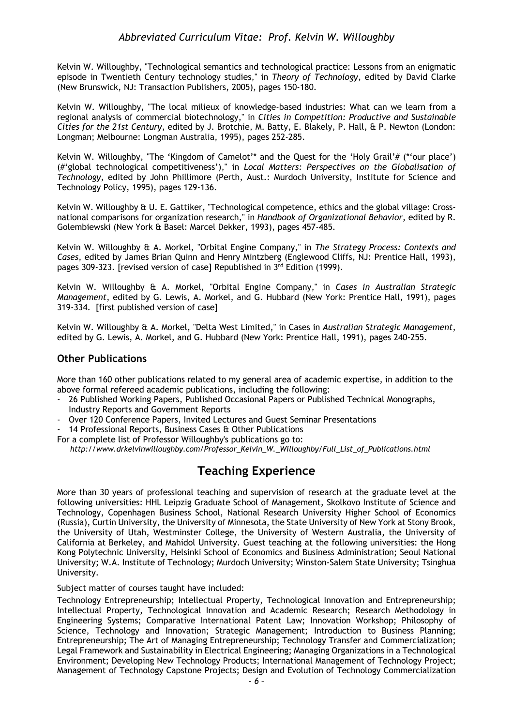Kelvin W. Willoughby, "Technological semantics and technological practice: Lessons from an enigmatic episode in Twentieth Century technology studies," in *Theory of Technology*, edited by David Clarke (New Brunswick, NJ: Transaction Publishers, 2005), pages 150-180.

Kelvin W. Willoughby, "The local milieux of knowledge-based industries: What can we learn from a regional analysis of commercial biotechnology," in *Cities in Competition: Productive and Sustainable Cities for the 21st Century*, edited by J. Brotchie, M. Batty, E. Blakely, P. Hall, & P. Newton (London: Longman; Melbourne: Longman Australia, 1995), pages 252-285.

Kelvin W. Willoughby, "The 'Kingdom of Camelot'\* and the Quest for the 'Holy Grail'# (\*'our place') (#'global technological competitiveness')," in *Local Matters: Perspectives on the Globalisation of Technology*, edited by John Phillimore (Perth, Aust.: Murdoch University, Institute for Science and Technology Policy, 1995), pages 129-136.

Kelvin W. Willoughby & U. E. Gattiker, "Technological competence, ethics and the global village: Crossnational comparisons for organization research," in *Handbook of Organizational Behavior*, edited by R. Golembiewski (New York & Basel: Marcel Dekker, 1993), pages 457-485.

Kelvin W. Willoughby & A. Morkel, "Orbital Engine Company," in *The Strategy Process: Contexts and Cases*, edited by James Brian Quinn and Henry Mintzberg (Englewood Cliffs, NJ: Prentice Hall, 1993), pages 309-323. [revised version of case] Republished in 3<sup>rd</sup> Edition (1999).

Kelvin W. Willoughby & A. Morkel, "Orbital Engine Company," in *Cases in Australian Strategic Management*, edited by G. Lewis, A. Morkel, and G. Hubbard (New York: Prentice Hall, 1991), pages 319-334. [first published version of case]

Kelvin W. Willoughby & A. Morkel, "Delta West Limited," in Cases in *Australian Strategic Management*, edited by G. Lewis, A. Morkel, and G. Hubbard (New York: Prentice Hall, 1991), pages 240-255.

## **Other Publications**

More than 160 other publications related to my general area of academic expertise, in addition to the above formal refereed academic publications, including the following:

- 26 Published Working Papers, Published Occasional Papers or Published Technical Monographs, Industry Reports and Government Reports
- Over 120 Conference Papers, Invited Lectures and Guest Seminar Presentations

14 Professional Reports, Business Cases & Other Publications

For a complete list of Professor Willoughby's publications go to:

 *http://www.drkelvinwilloughby.com/Professor\_Kelvin\_W.\_Willoughby/Full\_List\_of\_Publications.html*

# **Teaching Experience**

More than 30 years of professional teaching and supervision of research at the graduate level at the following universities: HHL Leipzig Graduate School of Management, Skolkovo Institute of Science and Technology, Copenhagen Business School, National Research University Higher School of Economics (Russia), Curtin University, the University of Minnesota, the State University of New York at Stony Brook, the University of Utah, Westminster College, the University of Western Australia, the University of California at Berkeley, and Mahidol University. Guest teaching at the following universities: the Hong Kong Polytechnic University, Helsinki School of Economics and Business Administration; Seoul National University; W.A. Institute of Technology; Murdoch University; Winston-Salem State University; Tsinghua University.

Subject matter of courses taught have included:

Technology Entrepreneurship; Intellectual Property, Technological Innovation and Entrepreneurship; Intellectual Property, Technological Innovation and Academic Research; Research Methodology in Engineering Systems; Comparative International Patent Law; Innovation Workshop; Philosophy of Science, Technology and Innovation; Strategic Management; Introduction to Business Planning; Entrepreneurship; The Art of Managing Entrepreneurship; Technology Transfer and Commercialization; Legal Framework and Sustainability in Electrical Engineering; Managing Organizations in a Technological Environment; Developing New Technology Products; International Management of Technology Project; Management of Technology Capstone Projects; Design and Evolution of Technology Commercialization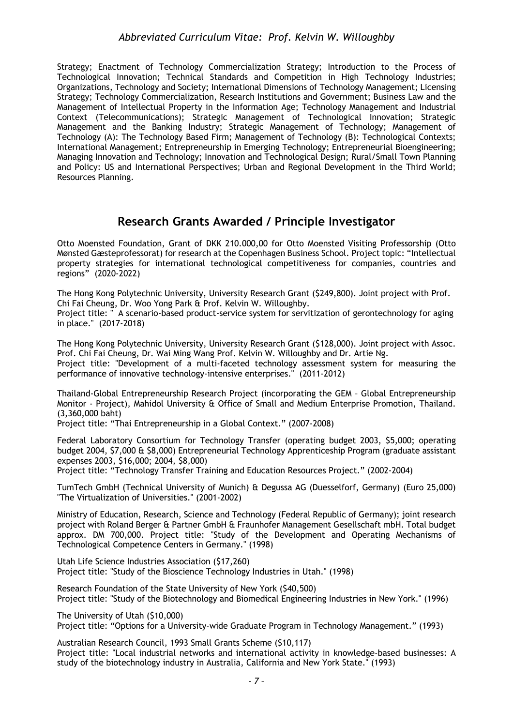Strategy; Enactment of Technology Commercialization Strategy; Introduction to the Process of Technological Innovation; Technical Standards and Competition in High Technology Industries; Organizations, Technology and Society; International Dimensions of Technology Management; Licensing Strategy; Technology Commercialization, Research Institutions and Government; Business Law and the Management of Intellectual Property in the Information Age; Technology Management and Industrial Context (Telecommunications); Strategic Management of Technological Innovation; Strategic Management and the Banking Industry; Strategic Management of Technology; Management of Technology (A): The Technology Based Firm; Management of Technology (B): Technological Contexts; International Management; Entrepreneurship in Emerging Technology; Entrepreneurial Bioengineering; Managing Innovation and Technology; Innovation and Technological Design; Rural/Small Town Planning and Policy: US and International Perspectives; Urban and Regional Development in the Third World; Resources Planning.

# **Research Grants Awarded / Principle Investigator**

Otto Moensted Foundation, Grant of DKK 210.000,00 for Otto Moensted Visiting Professorship (Otto Mønsted Gæsteprofessorat) for research at the Copenhagen Business School. Project topic: "Intellectual property strategies for international technological competitiveness for companies, countries and regions" (2020-2022)

The Hong Kong Polytechnic University, University Research Grant (\$249,800). Joint project with Prof. Chi Fai Cheung, Dr. Woo Yong Park & Prof. Kelvin W. Willoughby.

Project title: " A scenario-based product-service system for servitization of gerontechnology for aging in place." (2017-2018)

The Hong Kong Polytechnic University, University Research Grant (\$128,000). Joint project with Assoc. Prof. Chi Fai Cheung, Dr. Wai Ming Wang Prof. Kelvin W. Willoughby and Dr. Artie Ng.

Project title: "Development of a multi-faceted technology assessment system for measuring the performance of innovative technology-intensive enterprises." (2011-2012)

Thailand-Global Entrepreneurship Research Project (incorporating the GEM – Global Entrepreneurship Monitor - Project), Mahidol University & Office of Small and Medium Enterprise Promotion, Thailand. (3,360,000 baht)

Project title: "Thai Entrepreneurship in a Global Context." (2007-2008)

Federal Laboratory Consortium for Technology Transfer (operating budget 2003, \$5,000; operating budget 2004, \$7,000 & \$8,000) Entrepreneurial Technology Apprenticeship Program (graduate assistant expenses 2003, \$16,000; 2004, \$8,000)

Project title: "Technology Transfer Training and Education Resources Project." (2002-2004)

TumTech GmbH (Technical University of Munich) & Degussa AG (Duesselforf, Germany) (Euro 25,000) "The Virtualization of Universities." (2001-2002)

Ministry of Education, Research, Science and Technology (Federal Republic of Germany); joint research project with Roland Berger & Partner GmbH & Fraunhofer Management Gesellschaft mbH. Total budget approx. DM 700,000. Project title: "Study of the Development and Operating Mechanisms of Technological Competence Centers in Germany." (1998)

Utah Life Science Industries Association (\$17,260) Project title: "Study of the Bioscience Technology Industries in Utah." (1998)

Research Foundation of the State University of New York (\$40,500) Project title: "Study of the Biotechnology and Biomedical Engineering Industries in New York." (1996)

The University of Utah (\$10,000)

Project title: "Options for a University-wide Graduate Program in Technology Management." (1993)

Australian Research Council, 1993 Small Grants Scheme (\$10,117) Project title: "Local industrial networks and international activity in knowledge-based businesses: A study of the biotechnology industry in Australia, California and New York State." (1993)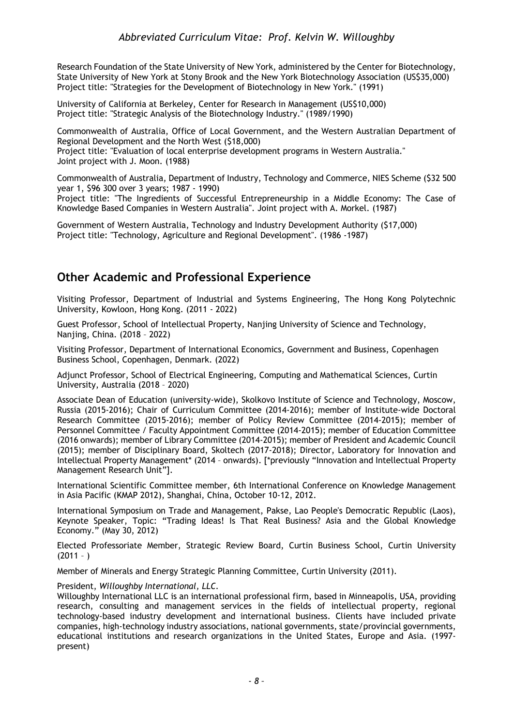Research Foundation of the State University of New York, administered by the Center for Biotechnology, State University of New York at Stony Brook and the New York Biotechnology Association (US\$35,000) Project title: "Strategies for the Development of Biotechnology in New York." (1991)

University of California at Berkeley, Center for Research in Management (US\$10,000) Project title: "Strategic Analysis of the Biotechnology Industry." (1989/1990)

Commonwealth of Australia, Office of Local Government, and the Western Australian Department of Regional Development and the North West (\$18,000) Project title: "Evaluation of local enterprise development programs in Western Australia." Joint project with J. Moon. (1988)

Commonwealth of Australia, Department of Industry, Technology and Commerce, NIES Scheme (\$32 500 year 1, \$96 300 over 3 years; 1987 - 1990)

Project title: "The Ingredients of Successful Entrepreneurship in a Middle Economy: The Case of Knowledge Based Companies in Western Australia". Joint project with A. Morkel. (1987)

Government of Western Australia, Technology and Industry Development Authority (\$17,000) Project title: "Technology, Agriculture and Regional Development". (1986 -1987)

# **Other Academic and Professional Experience**

Visiting Professor, Department of Industrial and Systems Engineering, The Hong Kong Polytechnic University, Kowloon, Hong Kong. (2011 - 2022)

Guest Professor, School of Intellectual Property, Nanjing University of Science and Technology, Nanjing, China. (2018 – 2022)

Visiting Professor, Department of International Economics, Government and Business, Copenhagen Business School, Copenhagen, Denmark. (2022)

Adjunct Professor, School of Electrical Engineering, Computing and Mathematical Sciences, Curtin University, Australia (2018 – 2020)

Associate Dean of Education (university-wide), Skolkovo Institute of Science and Technology, Moscow, Russia (2015-2016); Chair of Curriculum Committee (2014-2016); member of Institute-wide Doctoral Research Committee (2015-2016); member of Policy Review Committee (2014-2015); member of Personnel Committee / Faculty Appointment Committee (2014-2015); member of Education Committee (2016 onwards); member of Library Committee (2014-2015); member of President and Academic Council (2015); member of Disciplinary Board, Skoltech (2017-2018); Director, Laboratory for Innovation and Intellectual Property Management\* (2014 – onwards). [\*previously "Innovation and Intellectual Property Management Research Unit"].

International Scientific Committee member, 6th International Conference on Knowledge Management in Asia Pacific (KMAP 2012), Shanghai, China, October 10-12, 2012.

International Symposium on Trade and Management, Pakse, Lao People's Democratic Republic (Laos), Keynote Speaker, Topic: "Trading Ideas! Is That Real Business? Asia and the Global Knowledge Economy." (May 30, 2012)

Elected Professoriate Member, Strategic Review Board, Curtin Business School, Curtin University  $(2011 - )$ 

Member of Minerals and Energy Strategic Planning Committee, Curtin University (2011).

## President, *Willoughby International, LLC.*

Willoughby International LLC is an international professional firm, based in Minneapolis, USA, providing research, consulting and management services in the fields of intellectual property, regional technology-based industry development and international business. Clients have included private companies, high-technology industry associations, national governments, state/provincial governments, educational institutions and research organizations in the United States, Europe and Asia. (1997 present)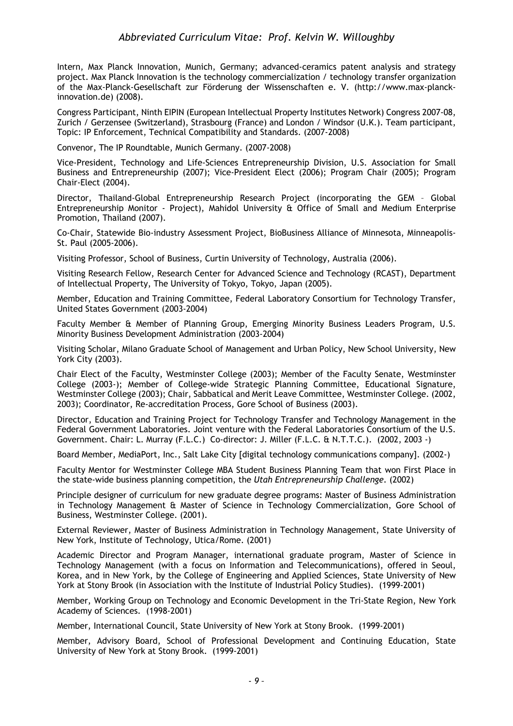Intern, Max Planck Innovation, Munich, Germany; advanced-ceramics patent analysis and strategy project. Max Planck Innovation is the technology commercialization / technology transfer organization of the Max-Planck-Gesellschaft zur Förderung der Wissenschaften e. V. (http://www.max-planckinnovation.de) (2008).

Congress Participant, Ninth EIPIN (European Intellectual Property Institutes Network) Congress 2007-08, Zurich / Gerzensee (Switzerland), Strasbourg (France) and London / Windsor (U.K.). Team participant, Topic: IP Enforcement, Technical Compatibility and Standards. (2007-2008)

Convenor, The IP Roundtable, Munich Germany. (2007-2008)

Vice-President, Technology and Life-Sciences Entrepreneurship Division, U.S. Association for Small Business and Entrepreneurship (2007); Vice-President Elect (2006); Program Chair (2005); Program Chair-Elect (2004).

Director, Thailand-Global Entrepreneurship Research Project (incorporating the GEM – Global Entrepreneurship Monitor - Project), Mahidol University & Office of Small and Medium Enterprise Promotion, Thailand (2007).

Co-Chair, Statewide Bio-industry Assessment Project, BioBusiness Alliance of Minnesota, Minneapolis-St. Paul (2005-2006).

Visiting Professor, School of Business, Curtin University of Technology, Australia (2006).

Visiting Research Fellow, Research Center for Advanced Science and Technology (RCAST), Department of Intellectual Property, The University of Tokyo, Tokyo, Japan (2005).

Member, Education and Training Committee, Federal Laboratory Consortium for Technology Transfer, United States Government (2003-2004)

Faculty Member & Member of Planning Group, Emerging Minority Business Leaders Program, U.S. Minority Business Development Administration (2003-2004)

Visiting Scholar, Milano Graduate School of Management and Urban Policy, New School University, New York City (2003).

Chair Elect of the Faculty, Westminster College (2003); Member of the Faculty Senate, Westminster College (2003-); Member of College-wide Strategic Planning Committee, Educational Signature, Westminster College (2003); Chair, Sabbatical and Merit Leave Committee, Westminster College. (2002, 2003); Coordinator, Re-accreditation Process, Gore School of Business (2003).

Director, Education and Training Project for Technology Transfer and Technology Management in the Federal Government Laboratories. Joint venture with the Federal Laboratories Consortium of the U.S. Government. Chair: L. Murray (F.L.C.) Co-director: J. Miller (F.L.C. & N.T.T.C.). (2002, 2003 -)

Board Member, MediaPort, Inc., Salt Lake City [digital technology communications company]. (2002-)

Faculty Mentor for Westminster College MBA Student Business Planning Team that won First Place in the state-wide business planning competition, the *Utah Entrepreneurship Challenge.* (2002)

Principle designer of curriculum for new graduate degree programs: Master of Business Administration in Technology Management & Master of Science in Technology Commercialization, Gore School of Business, Westminster College. (2001).

External Reviewer, Master of Business Administration in Technology Management, State University of New York, Institute of Technology, Utica/Rome. (2001)

Academic Director and Program Manager, international graduate program, Master of Science in Technology Management (with a focus on Information and Telecommunications), offered in Seoul, Korea, and in New York, by the College of Engineering and Applied Sciences, State University of New York at Stony Brook (in Association with the Institute of Industrial Policy Studies). (1999-2001)

Member, Working Group on Technology and Economic Development in the Tri-State Region, New York Academy of Sciences. (1998-2001)

Member, International Council, State University of New York at Stony Brook. (1999-2001)

Member, Advisory Board, School of Professional Development and Continuing Education, State University of New York at Stony Brook. (1999-2001)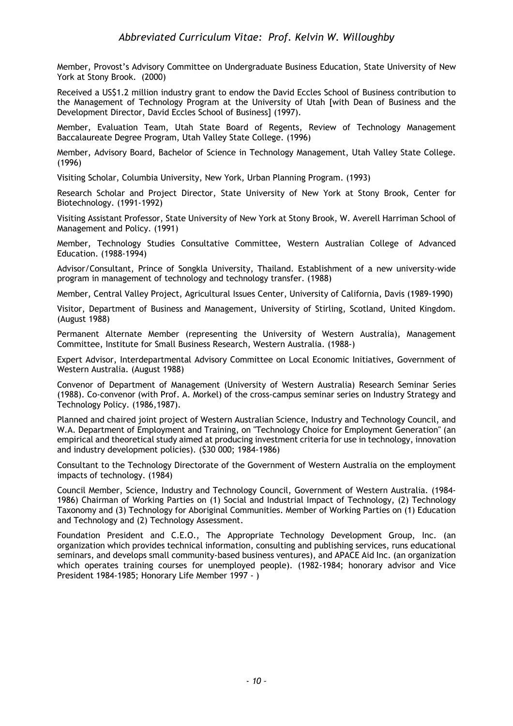Member, Provost's Advisory Committee on Undergraduate Business Education, State University of New York at Stony Brook. (2000)

Received a US\$1.2 million industry grant to endow the David Eccles School of Business contribution to the Management of Technology Program at the University of Utah [with Dean of Business and the Development Director, David Eccles School of Business] (1997).

Member, Evaluation Team, Utah State Board of Regents, Review of Technology Management Baccalaureate Degree Program, Utah Valley State College. (1996)

Member, Advisory Board, Bachelor of Science in Technology Management, Utah Valley State College. (1996)

Visiting Scholar, Columbia University, New York, Urban Planning Program. (1993)

Research Scholar and Project Director, State University of New York at Stony Brook, Center for Biotechnology. (1991-1992)

Visiting Assistant Professor, State University of New York at Stony Brook, W. Averell Harriman School of Management and Policy. (1991)

Member, Technology Studies Consultative Committee, Western Australian College of Advanced Education. (1988-1994)

Advisor/Consultant, Prince of Songkla University, Thailand. Establishment of a new university-wide program in management of technology and technology transfer. (1988)

Member, Central Valley Project, Agricultural Issues Center, University of California, Davis (1989-1990)

Visitor, Department of Business and Management, University of Stirling, Scotland, United Kingdom. (August 1988)

Permanent Alternate Member (representing the University of Western Australia), Management Committee, Institute for Small Business Research, Western Australia. (1988-)

Expert Advisor, Interdepartmental Advisory Committee on Local Economic Initiatives, Government of Western Australia. (August 1988)

Convenor of Department of Management (University of Western Australia) Research Seminar Series (1988). Co-convenor (with Prof. A. Morkel) of the cross-campus seminar series on Industry Strategy and Technology Policy. (1986,1987).

Planned and chaired joint project of Western Australian Science, Industry and Technology Council, and W.A. Department of Employment and Training, on "Technology Choice for Employment Generation" (an empirical and theoretical study aimed at producing investment criteria for use in technology, innovation and industry development policies). (\$30 000; 1984-1986)

Consultant to the Technology Directorate of the Government of Western Australia on the employment impacts of technology. (1984)

Council Member, Science, Industry and Technology Council, Government of Western Australia. (1984- 1986) Chairman of Working Parties on (1) Social and Industrial Impact of Technology, (2) Technology Taxonomy and (3) Technology for Aboriginal Communities. Member of Working Parties on (1) Education and Technology and (2) Technology Assessment.

Foundation President and C.E.O., The Appropriate Technology Development Group, Inc. (an organization which provides technical information, consulting and publishing services, runs educational seminars, and develops small community-based business ventures), and APACE Aid Inc. (an organization which operates training courses for unemployed people). (1982-1984; honorary advisor and Vice President 1984-1985; Honorary Life Member 1997 - )